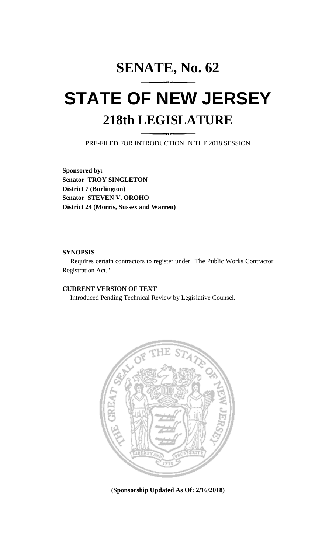## **SENATE, No. 62**

## **STATE OF NEW JERSEY 218th LEGISLATURE**

PRE-FILED FOR INTRODUCTION IN THE 2018 SESSION

**Sponsored by: Senator TROY SINGLETON District 7 (Burlington) Senator STEVEN V. OROHO District 24 (Morris, Sussex and Warren)**

## **SYNOPSIS**

Requires certain contractors to register under "The Public Works Contractor Registration Act."

## **CURRENT VERSION OF TEXT**

Introduced Pending Technical Review by Legislative Counsel.



**(Sponsorship Updated As Of: 2/16/2018)**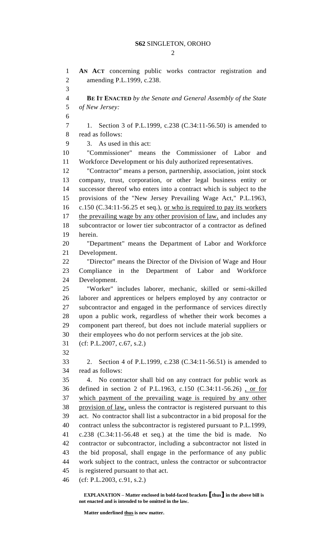$\mathcal{D}_{\mathcal{L}}$ 

 **AN ACT** concerning public works contractor registration and amending P.L.1999, c.238. **BE IT ENACTED** *by the Senate and General Assembly of the State of New Jersey:* 1. Section 3 of P.L.1999, c.238 (C.34:11-56.50) is amended to read as follows: 3. As used in this act: "Commissioner" means the Commissioner of Labor and Workforce Development or his duly authorized representatives. "Contractor" means a person, partnership, association, joint stock company, trust, corporation, or other legal business entity or successor thereof who enters into a contract which is subject to the provisions of the "New Jersey Prevailing Wage Act," P.L.1963, c.150 (C.34:11-56.25 et seq.), or who is required to pay its workers 17 the prevailing wage by any other provision of law, and includes any subcontractor or lower tier subcontractor of a contractor as defined herein. "Department" means the Department of Labor and Workforce Development. "Director" means the Director of the Division of Wage and Hour Compliance in the Department of Labor and Workforce Development. "Worker" includes laborer, mechanic, skilled or semi-skilled laborer and apprentices or helpers employed by any contractor or subcontractor and engaged in the performance of services directly upon a public work, regardless of whether their work becomes a component part thereof, but does not include material suppliers or their employees who do not perform services at the job site. (cf: P.L.2007, c.67, s.2.) 2. Section 4 of P.L.1999, c.238 (C.34:11-56.51) is amended to read as follows: 4. No contractor shall bid on any contract for public work as defined in section 2 of P.L.1963, c.150 (C.34:11-56.26) , or for which payment of the prevailing wage is required by any other provision of law, unless the contractor is registered pursuant to this act. No contractor shall list a subcontractor in a bid proposal for the contract unless the subcontractor is registered pursuant to P.L.1999, c.238 (C.34:11-56.48 et seq.) at the time the bid is made. No contractor or subcontractor, including a subcontractor not listed in the bid proposal, shall engage in the performance of any public work subject to the contract, unless the contractor or subcontractor is registered pursuant to that act. (cf: P.L.2003, c.91, s.2.)

**EXPLANATION – Matter enclosed in bold-faced brackets [thus] in the above bill is not enacted and is intended to be omitted in the law.**

**Matter underlined thus is new matter.**